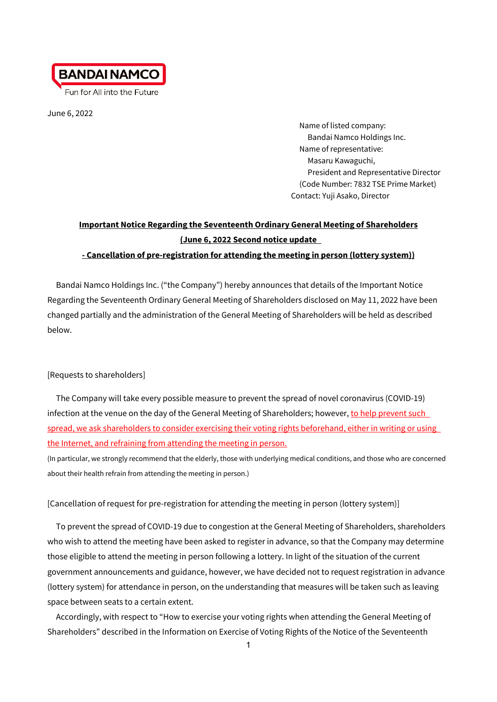

Fun for All into the Future

June 6, 2022

Name of listed company: Bandai Namco Holdings Inc. Name of representative: Masaru Kawaguchi, President and Representative Director (Code Number: 7832 TSE Prime Market) Contact: Yuji Asako, Director

# **Important Notice Regarding the Seventeenth Ordinary General Meeting of Shareholders (June 6, 2022 Second notice update**

## **- Cancellation of pre-registration for attending the meeting in person (lottery system))**

Bandai Namco Holdings Inc. ("the Company") hereby announces that details of the Important Notice Regarding the Seventeenth Ordinary General Meeting of Shareholders disclosed on May 11, 2022 have been changed partially and the administration of the General Meeting of Shareholders will be held as described below.

## [Requests to shareholders]

The Company will take every possible measure to prevent the spread of novel coronavirus (COVID-19) infection at the venue on the day of the General Meeting of Shareholders; however, to help prevent such spread, we ask shareholders to consider exercising their voting rights beforehand, either in writing or using the Internet, and refraining from attending the meeting in person.

(In particular, we strongly recommend that the elderly, those with underlying medical conditions, and those who are concerned about their health refrain from attending the meeting in person.)

## [Cancellation of request for pre-registration for attending the meeting in person (lottery system)]

To prevent the spread of COVID-19 due to congestion at the General Meeting of Shareholders, shareholders who wish to attend the meeting have been asked to register in advance, so that the Company may determine those eligible to attend the meeting in person following a lottery. In light of the situation of the current government announcements and guidance, however, we have decided not to request registration in advance (lottery system) for attendance in person, on the understanding that measures will be taken such as leaving space between seats to a certain extent.

Accordingly, with respect to "How to exercise your voting rights when attending the General Meeting of Shareholders" described in the Information on Exercise of Voting Rights of the Notice of the Seventeenth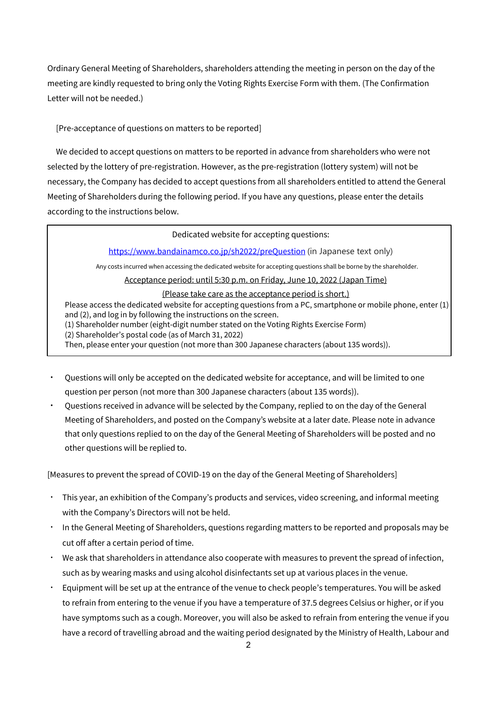Ordinary General Meeting of Shareholders, shareholders attending the meeting in person on the day of the meeting are kindly requested to bring only the Voting Rights Exercise Form with them. (The Confirmation Letter will not be needed.)

[Pre-acceptance of questions on matters to be reported]

We decided to accept questions on matters to be reported in advance from shareholders who were not selected by the lottery of pre-registration. However, as the pre-registration (lottery system) will not be necessary, the Company has decided to accept questions from all shareholders entitled to attend the General Meeting of Shareholders during the following period. If you have any questions, please enter the details according to the instructions below.

#### Dedicated website for accepting questions:

<https://www.bandainamco.co.jp/sh2022/preQuestion> (in Japanese text only)

Any costs incurred when accessing the dedicated website for accepting questions shall be borne by the shareholder.

Acceptance period: until 5:30 p.m. on Friday, June 10, 2022 (Japan Time)

#### (Please take care as the acceptance period is short.)

Please access the dedicated website for accepting questions from a PC, smartphone or mobile phone, enter (1) and (2), and log in by following the instructions on the screen. (1) Shareholder number (eight-digit number stated on the Voting Rights Exercise Form) (2) Shareholder's postal code (as of March 31, 2022) Then, please enter your question (not more than 300 Japanese characters (about 135 words)).

- Questions will only be accepted on the dedicated website for acceptance, and will be limited to one question per person (not more than 300 Japanese characters (about 135 words)).
- Questions received in advance will be selected by the Company, replied to on the day of the General Meeting of Shareholders, and posted on the Company's website at a later date. Please note in advance that only questions replied to on the day of the General Meeting of Shareholders will be posted and no other questions will be replied to.

[Measures to prevent the spread of COVID-19 on the day of the General Meeting of Shareholders]

- ・ This year, an exhibition of the Company's products and services, video screening, and informal meeting with the Company's Directors will not be held.
- ・ In the General Meeting of Shareholders, questions regarding matters to be reported and proposals may be cut off after a certain period of time.
- ・ We ask that shareholders in attendance also cooperate with measures to prevent the spread of infection, such as by wearing masks and using alcohol disinfectants set up at various places in the venue.
- Equipment will be set up at the entrance of the venue to check people's temperatures. You will be asked to refrain from entering to the venue if you have a temperature of 37.5 degrees Celsius or higher, or if you have symptoms such as a cough. Moreover, you will also be asked to refrain from entering the venue if you have a record of travelling abroad and the waiting period designated by the Ministry of Health, Labour and